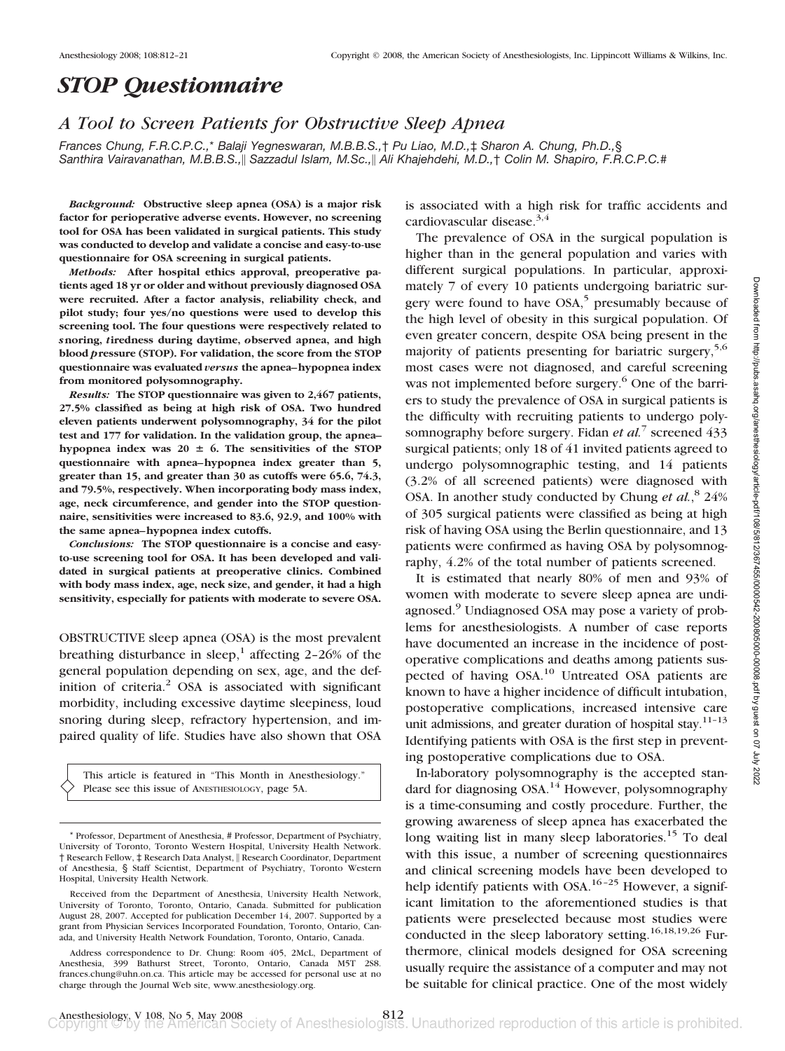# *STOP Questionnaire*

# *A Tool to Screen Patients for Obstructive Sleep Apnea*

*Frances Chung, F.R.C.P.C.,*\* *Balaji Yegneswaran, M.B.B.S.,*† *Pu Liao, M.D.,*‡ *Sharon A. Chung, Ph.D.,*§ *Santhira Vairavanathan, M.B.B.S., Sazzadul Islam, M.Sc., Ali Khajehdehi, M.D.,*† *Colin M. Shapiro, F.R.C.P.C.*#

*Background:* **Obstructive sleep apnea (OSA) is a major risk factor for perioperative adverse events. However, no screening tool for OSA has been validated in surgical patients. This study was conducted to develop and validate a concise and easy-to-use questionnaire for OSA screening in surgical patients.**

*Methods:* **After hospital ethics approval, preoperative patients aged 18 yr or older and without previously diagnosed OSA were recruited. After a factor analysis, reliability check, and pilot study; four yes/no questions were used to develop this screening tool. The four questions were respectively related to** *s***noring,** *t***iredness during daytime,** *o***bserved apnea, and high blood** *p***ressure (STOP). For validation, the score from the STOP questionnaire was evaluated** *versus* **the apnea–hypopnea index from monitored polysomnography.**

*Results:* **The STOP questionnaire was given to 2,467 patients, 27.5% classified as being at high risk of OSA. Two hundred eleven patients underwent polysomnography, 34 for the pilot test and 177 for validation. In the validation group, the apnea–** hypopnea index was  $20 \pm 6$ . The sensitivities of the STOP **questionnaire with apnea–hypopnea index greater than 5, greater than 15, and greater than 30 as cutoffs were 65.6, 74.3, and 79.5%, respectively. When incorporating body mass index, age, neck circumference, and gender into the STOP questionnaire, sensitivities were increased to 83.6, 92.9, and 100% with the same apnea–hypopnea index cutoffs.**

*Conclusions:* **The STOP questionnaire is a concise and easyto-use screening tool for OSA. It has been developed and validated in surgical patients at preoperative clinics. Combined with body mass index, age, neck size, and gender, it had a high sensitivity, especially for patients with moderate to severe OSA.**

OBSTRUCTIVE sleep apnea (OSA) is the most prevalent breathing disturbance in sleep,<sup>1</sup> affecting 2–26% of the general population depending on sex, age, and the definition of criteria.<sup>2</sup> OSA is associated with significant morbidity, including excessive daytime sleepiness, loud snoring during sleep, refractory hypertension, and impaired quality of life. Studies have also shown that OSA

This article is featured in "This Month in Anesthesiology." Please see this issue of ANESTHESIOLOGY, page 5A.

is associated with a high risk for traffic accidents and cardiovascular disease. $3,4$ 

The prevalence of OSA in the surgical population is higher than in the general population and varies with different surgical populations. In particular, approximately 7 of every 10 patients undergoing bariatric surgery were found to have  $OSA$ ,<sup>5</sup> presumably because of the high level of obesity in this surgical population. Of even greater concern, despite OSA being present in the majority of patients presenting for bariatric surgery,<sup>5,6</sup> most cases were not diagnosed, and careful screening was not implemented before surgery.<sup>6</sup> One of the barriers to study the prevalence of OSA in surgical patients is the difficulty with recruiting patients to undergo polysomnography before surgery. Fidan *et al.*<sup>7</sup> screened 433 surgical patients; only 18 of 41 invited patients agreed to undergo polysomnographic testing, and 14 patients (3.2% of all screened patients) were diagnosed with OSA. In another study conducted by Chung et al.,<sup>8</sup> 24% of 305 surgical patients were classified as being at high risk of having OSA using the Berlin questionnaire, and 13 patients were confirmed as having OSA by polysomnography, 4.2% of the total number of patients screened.

It is estimated that nearly 80% of men and 93% of women with moderate to severe sleep apnea are undiagnosed.<sup>9</sup> Undiagnosed OSA may pose a variety of problems for anesthesiologists. A number of case reports have documented an increase in the incidence of postoperative complications and deaths among patients suspected of having OSA.10 Untreated OSA patients are known to have a higher incidence of difficult intubation, postoperative complications, increased intensive care unit admissions, and greater duration of hospital stay.<sup>11-13</sup> Identifying patients with OSA is the first step in preventing postoperative complications due to OSA.

In-laboratory polysomnography is the accepted standard for diagnosing OSA.<sup>14</sup> However, polysomnography is a time-consuming and costly procedure. Further, the growing awareness of sleep apnea has exacerbated the long waiting list in many sleep laboratories.<sup>15</sup> To deal with this issue, a number of screening questionnaires and clinical screening models have been developed to help identify patients with OSA.<sup>16-25</sup> However, a significant limitation to the aforementioned studies is that patients were preselected because most studies were conducted in the sleep laboratory setting.<sup>16,18,19,26</sup> Furthermore, clinical models designed for OSA screening usually require the assistance of a computer and may not be suitable for clinical practice. One of the most widely

<sup>\*</sup> Professor, Department of Anesthesia, # Professor, Department of Psychiatry, University of Toronto, Toronto Western Hospital, University Health Network. † Research Fellow, ‡ Research Data Analyst, Research Coordinator, Department of Anesthesia, § Staff Scientist, Department of Psychiatry, Toronto Western Hospital, University Health Network.

Received from the Department of Anesthesia, University Health Network, University of Toronto, Toronto, Ontario, Canada. Submitted for publication August 28, 2007. Accepted for publication December 14, 2007. Supported by a grant from Physician Services Incorporated Foundation, Toronto, Ontario, Canada, and University Health Network Foundation, Toronto, Ontario, Canada.

Address correspondence to Dr. Chung: Room 405, 2McL, Department of Anesthesia, 399 Bathurst Street, Toronto, Ontario, Canada M5T 2S8. frances.chung@uhn.on.ca. This article may be accessed for personal use at no charge through the Journal Web site, www.anesthesiology.org.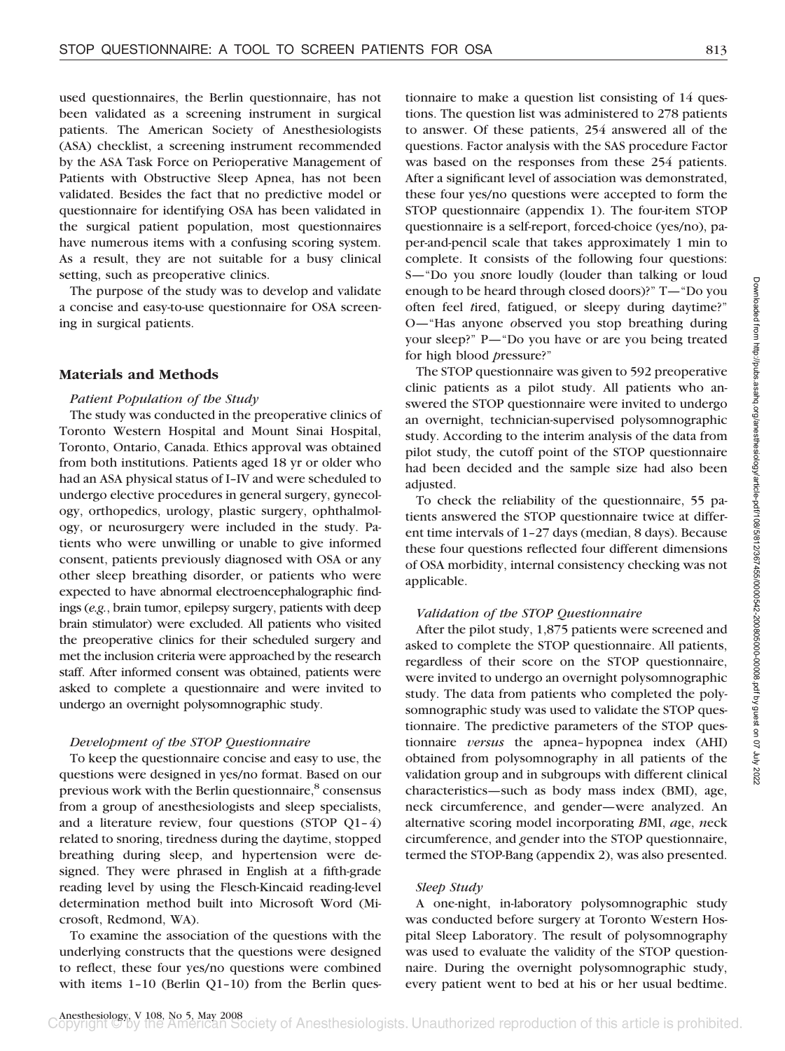used questionnaires, the Berlin questionnaire, has not been validated as a screening instrument in surgical patients. The American Society of Anesthesiologists (ASA) checklist, a screening instrument recommended by the ASA Task Force on Perioperative Management of Patients with Obstructive Sleep Apnea, has not been validated. Besides the fact that no predictive model or questionnaire for identifying OSA has been validated in the surgical patient population, most questionnaires have numerous items with a confusing scoring system. As a result, they are not suitable for a busy clinical setting, such as preoperative clinics.

The purpose of the study was to develop and validate a concise and easy-to-use questionnaire for OSA screening in surgical patients.

# **Materials and Methods**

#### *Patient Population of the Study*

The study was conducted in the preoperative clinics of Toronto Western Hospital and Mount Sinai Hospital, Toronto, Ontario, Canada. Ethics approval was obtained from both institutions. Patients aged 18 yr or older who had an ASA physical status of I–IV and were scheduled to undergo elective procedures in general surgery, gynecology, orthopedics, urology, plastic surgery, ophthalmology, or neurosurgery were included in the study. Patients who were unwilling or unable to give informed consent, patients previously diagnosed with OSA or any other sleep breathing disorder, or patients who were expected to have abnormal electroencephalographic findings (*e.g.*, brain tumor, epilepsy surgery, patients with deep brain stimulator) were excluded. All patients who visited the preoperative clinics for their scheduled surgery and met the inclusion criteria were approached by the research staff. After informed consent was obtained, patients were asked to complete a questionnaire and were invited to undergo an overnight polysomnographic study.

### *Development of the STOP Questionnaire*

To keep the questionnaire concise and easy to use, the questions were designed in yes/no format. Based on our previous work with the Berlin questionnaire,<sup>8</sup> consensus from a group of anesthesiologists and sleep specialists, and a literature review, four questions (STOP Q1–4) related to snoring, tiredness during the daytime, stopped breathing during sleep, and hypertension were designed. They were phrased in English at a fifth-grade reading level by using the Flesch-Kincaid reading-level determination method built into Microsoft Word (Microsoft, Redmond, WA).

To examine the association of the questions with the underlying constructs that the questions were designed to reflect, these four yes/no questions were combined with items 1-10 (Berlin Q1-10) from the Berlin questionnaire to make a question list consisting of 14 questions. The question list was administered to 278 patients to answer. Of these patients, 254 answered all of the questions. Factor analysis with the SAS procedure Factor was based on the responses from these 254 patients. After a significant level of association was demonstrated, these four yes/no questions were accepted to form the STOP questionnaire (appendix 1). The four-item STOP questionnaire is a self-report, forced-choice (yes/no), paper-and-pencil scale that takes approximately 1 min to complete. It consists of the following four questions: S—"Do you *s*nore loudly (louder than talking or loud enough to be heard through closed doors)?" T—"Do you often feel *t*ired, fatigued, or sleepy during daytime?" O—"Has anyone *o*bserved you stop breathing during your sleep?" P—"Do you have or are you being treated for high blood *p*ressure?"

The STOP questionnaire was given to 592 preoperative clinic patients as a pilot study. All patients who answered the STOP questionnaire were invited to undergo an overnight, technician-supervised polysomnographic study. According to the interim analysis of the data from pilot study, the cutoff point of the STOP questionnaire had been decided and the sample size had also been adjusted.

To check the reliability of the questionnaire, 55 patients answered the STOP questionnaire twice at different time intervals of 1–27 days (median, 8 days). Because these four questions reflected four different dimensions of OSA morbidity, internal consistency checking was not applicable.

### *Validation of the STOP Questionnaire*

After the pilot study, 1,875 patients were screened and asked to complete the STOP questionnaire. All patients, regardless of their score on the STOP questionnaire, were invited to undergo an overnight polysomnographic study. The data from patients who completed the polysomnographic study was used to validate the STOP questionnaire. The predictive parameters of the STOP questionnaire *versus* the apnea–hypopnea index (AHI) obtained from polysomnography in all patients of the validation group and in subgroups with different clinical characteristics—such as body mass index (BMI), age, neck circumference, and gender—were analyzed. An alternative scoring model incorporating *B*MI, *a*ge, *n*eck circumference, and *g*ender into the STOP questionnaire, termed the STOP-Bang (appendix 2), was also presented.

#### *Sleep Study*

A one-night, in-laboratory polysomnographic study was conducted before surgery at Toronto Western Hospital Sleep Laboratory. The result of polysomnography was used to evaluate the validity of the STOP questionnaire. During the overnight polysomnographic study, every patient went to bed at his or her usual bedtime.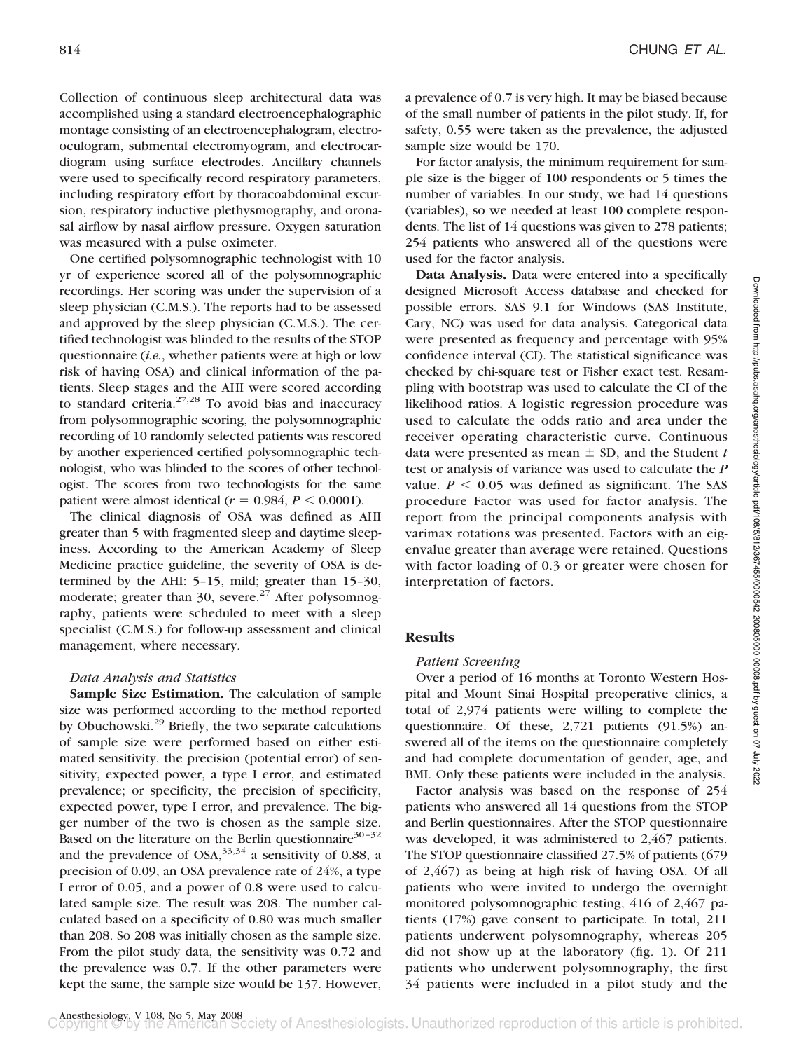Collection of continuous sleep architectural data was accomplished using a standard electroencephalographic montage consisting of an electroencephalogram, electrooculogram, submental electromyogram, and electrocardiogram using surface electrodes. Ancillary channels were used to specifically record respiratory parameters, including respiratory effort by thoracoabdominal excursion, respiratory inductive plethysmography, and oronasal airflow by nasal airflow pressure. Oxygen saturation was measured with a pulse oximeter.

One certified polysomnographic technologist with 10 yr of experience scored all of the polysomnographic recordings. Her scoring was under the supervision of a sleep physician (C.M.S.). The reports had to be assessed and approved by the sleep physician (C.M.S.). The certified technologist was blinded to the results of the STOP questionnaire (*i.e.*, whether patients were at high or low risk of having OSA) and clinical information of the patients. Sleep stages and the AHI were scored according to standard criteria. $27,28$  To avoid bias and inaccuracy from polysomnographic scoring, the polysomnographic recording of 10 randomly selected patients was rescored by another experienced certified polysomnographic technologist, who was blinded to the scores of other technologist. The scores from two technologists for the same patient were almost identical  $(r = 0.984, P \le 0.0001)$ .

The clinical diagnosis of OSA was defined as AHI greater than 5 with fragmented sleep and daytime sleepiness. According to the American Academy of Sleep Medicine practice guideline, the severity of OSA is determined by the AHI: 5–15, mild; greater than 15–30, moderate; greater than 30, severe. $27$  After polysomnography, patients were scheduled to meet with a sleep specialist (C.M.S.) for follow-up assessment and clinical management, where necessary.

### *Data Analysis and Statistics*

**Sample Size Estimation.** The calculation of sample size was performed according to the method reported by Obuchowski.29 Briefly, the two separate calculations of sample size were performed based on either estimated sensitivity, the precision (potential error) of sensitivity, expected power, a type I error, and estimated prevalence; or specificity, the precision of specificity, expected power, type I error, and prevalence. The bigger number of the two is chosen as the sample size. Based on the literature on the Berlin questionnaire $30-32$ and the prevalence of  $OSA$ ,  $33,34$  a sensitivity of 0.88, a precision of 0.09, an OSA prevalence rate of 24%, a type I error of 0.05, and a power of 0.8 were used to calculated sample size. The result was 208. The number calculated based on a specificity of 0.80 was much smaller than 208. So 208 was initially chosen as the sample size. From the pilot study data, the sensitivity was 0.72 and the prevalence was 0.7. If the other parameters were kept the same, the sample size would be 137. However, a prevalence of 0.7 is very high. It may be biased because of the small number of patients in the pilot study. If, for safety, 0.55 were taken as the prevalence, the adjusted sample size would be 170.

For factor analysis, the minimum requirement for sample size is the bigger of 100 respondents or 5 times the number of variables. In our study, we had 14 questions (variables), so we needed at least 100 complete respondents. The list of 14 questions was given to 278 patients; 254 patients who answered all of the questions were used for the factor analysis.

**Data Analysis.** Data were entered into a specifically designed Microsoft Access database and checked for possible errors. SAS 9.1 for Windows (SAS Institute, Cary, NC) was used for data analysis. Categorical data were presented as frequency and percentage with 95% confidence interval (CI). The statistical significance was checked by chi-square test or Fisher exact test. Resampling with bootstrap was used to calculate the CI of the likelihood ratios. A logistic regression procedure was used to calculate the odds ratio and area under the receiver operating characteristic curve. Continuous data were presented as mean  $\pm$  SD, and the Student *t* test or analysis of variance was used to calculate the *P* value.  $P < 0.05$  was defined as significant. The SAS procedure Factor was used for factor analysis. The report from the principal components analysis with varimax rotations was presented. Factors with an eigenvalue greater than average were retained. Questions with factor loading of 0.3 or greater were chosen for interpretation of factors.

# **Results**

### *Patient Screening*

Over a period of 16 months at Toronto Western Hospital and Mount Sinai Hospital preoperative clinics, a total of 2,974 patients were willing to complete the questionnaire. Of these, 2,721 patients (91.5%) answered all of the items on the questionnaire completely and had complete documentation of gender, age, and BMI. Only these patients were included in the analysis.

Factor analysis was based on the response of 254 patients who answered all 14 questions from the STOP and Berlin questionnaires. After the STOP questionnaire was developed, it was administered to 2,467 patients. The STOP questionnaire classified 27.5% of patients (679 of 2,467) as being at high risk of having OSA. Of all patients who were invited to undergo the overnight monitored polysomnographic testing, 416 of 2,467 patients (17%) gave consent to participate. In total, 211 patients underwent polysomnography, whereas 205 did not show up at the laboratory (fig. 1). Of 211 patients who underwent polysomnography, the first 34 patients were included in a pilot study and the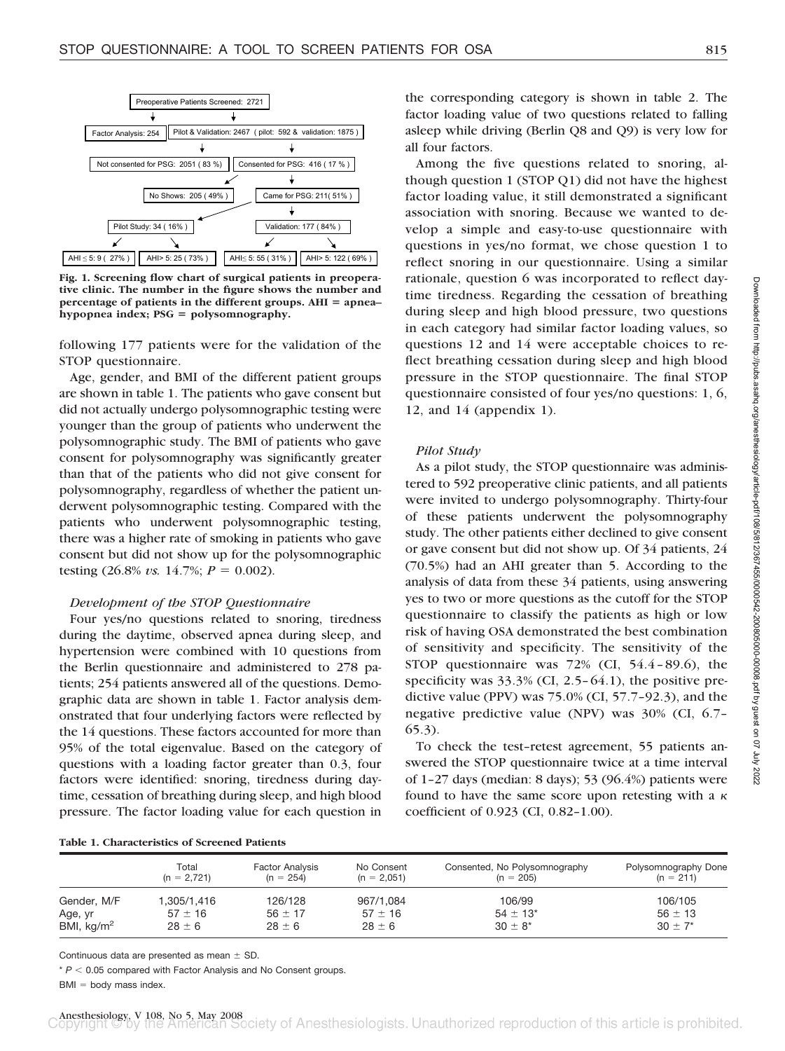

**Fig. 1. Screening flow chart of surgical patients in preoperative clinic. The number in the figure shows the number and** percentage of patients in the different groups. AHI = apnea**hypopnea index; PSG** - **polysomnography.**

following 177 patients were for the validation of the STOP questionnaire.

Age, gender, and BMI of the different patient groups are shown in table 1. The patients who gave consent but did not actually undergo polysomnographic testing were younger than the group of patients who underwent the polysomnographic study. The BMI of patients who gave consent for polysomnography was significantly greater than that of the patients who did not give consent for polysomnography, regardless of whether the patient underwent polysomnographic testing. Compared with the patients who underwent polysomnographic testing, there was a higher rate of smoking in patients who gave consent but did not show up for the polysomnographic testing  $(26.8\% \text{ vs. } 14.7\%; P = 0.002)$ .

#### *Development of the STOP Questionnaire*

Four yes/no questions related to snoring, tiredness during the daytime, observed apnea during sleep, and hypertension were combined with 10 questions from the Berlin questionnaire and administered to 278 patients; 254 patients answered all of the questions. Demographic data are shown in table 1. Factor analysis demonstrated that four underlying factors were reflected by the 14 questions. These factors accounted for more than 95% of the total eigenvalue. Based on the category of questions with a loading factor greater than 0.3, four factors were identified: snoring, tiredness during daytime, cessation of breathing during sleep, and high blood pressure. The factor loading value for each question in the corresponding category is shown in table 2. The factor loading value of two questions related to falling asleep while driving (Berlin Q8 and Q9) is very low for all four factors.

Among the five questions related to snoring, although question 1 (STOP Q1) did not have the highest factor loading value, it still demonstrated a significant association with snoring. Because we wanted to develop a simple and easy-to-use questionnaire with questions in yes/no format, we chose question 1 to reflect snoring in our questionnaire. Using a similar rationale, question 6 was incorporated to reflect daytime tiredness. Regarding the cessation of breathing during sleep and high blood pressure, two questions in each category had similar factor loading values, so questions 12 and 14 were acceptable choices to reflect breathing cessation during sleep and high blood pressure in the STOP questionnaire. The final STOP questionnaire consisted of four yes/no questions: 1, 6, 12, and 14 (appendix 1).

#### *Pilot Study*

As a pilot study, the STOP questionnaire was administered to 592 preoperative clinic patients, and all patients were invited to undergo polysomnography. Thirty-four of these patients underwent the polysomnography study. The other patients either declined to give consent or gave consent but did not show up. Of 34 patients, 24 (70.5%) had an AHI greater than 5. According to the analysis of data from these 34 patients, using answering yes to two or more questions as the cutoff for the STOP questionnaire to classify the patients as high or low risk of having OSA demonstrated the best combination of sensitivity and specificity. The sensitivity of the STOP questionnaire was 72% (CI, 54.4–89.6), the specificity was  $33.3\%$  (CI, 2.5–64.1), the positive predictive value (PPV) was 75.0% (CI, 57.7–92.3), and the negative predictive value (NPV) was 30% (CI, 6.7– 65.3).

To check the test–retest agreement, 55 patients answered the STOP questionnaire twice at a time interval of 1–27 days (median: 8 days); 53 (96.4%) patients were found to have the same score upon retesting with a  $\kappa$ coefficient of 0.923 (CI, 0.82–1.00).

| Table 1. Characteristics of Screened Patients |
|-----------------------------------------------|
|                                               |

|                      | Total<br>$(n = 2,721)$ | <b>Factor Analysis</b><br>$(n = 254)$ | No Consent<br>$(n = 2,051)$ | Consented, No Polysomnography<br>$(n = 205)$ | Polysomnography Done<br>$(n = 211)$ |
|----------------------|------------------------|---------------------------------------|-----------------------------|----------------------------------------------|-------------------------------------|
| Gender, M/F          | 1.305/1.416            | 126/128                               | 967/1.084                   | 106/99                                       | 106/105                             |
| Age, yr              | $57 \pm 16$            | $56 \pm 17$                           | $57 \pm 16$                 | $54 \pm 13$ *                                | $56 \pm 13$                         |
| BMI, $\text{kg/m}^2$ | $28 \pm 6$             | $28 \pm 6$                            | $28 \pm 6$                  | $30 \pm 8^*$                                 | $30 \pm 7^*$                        |

Continuous data are presented as mean  $\pm$  SD.

 $* P < 0.05$  compared with Factor Analysis and No Consent groups.

 $BMI = body$  mass index.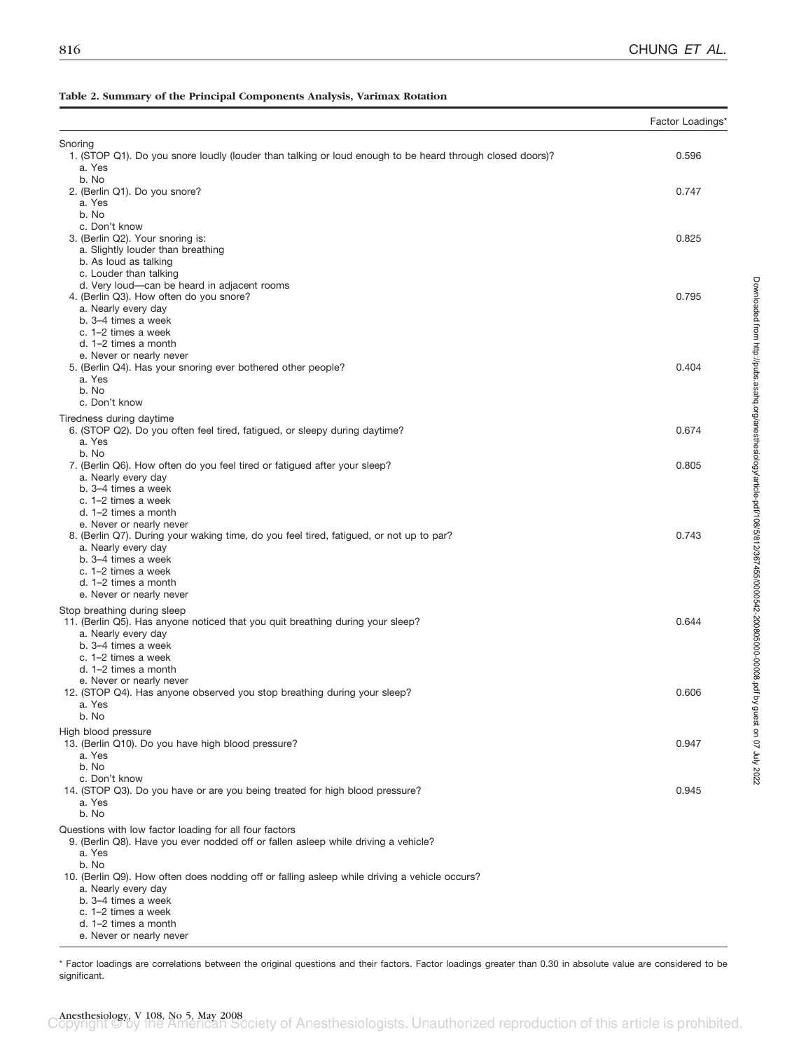#### **Table 2. Summary of the Principal Components Analysis, Varimax Rotation**

|                                                                                                                                                                                                                                        | Factor Loadings' |
|----------------------------------------------------------------------------------------------------------------------------------------------------------------------------------------------------------------------------------------|------------------|
| Snoring<br>1. (STOP Q1). Do you snore loudly (louder than talking or loud enough to be heard through closed doors)?<br>a. Yes                                                                                                          | 0.596            |
| b. No<br>2. (Berlin Q1). Do you snore?<br>a. Yes<br>b. No                                                                                                                                                                              | 0.747            |
| c. Don't know<br>3. (Berlin Q2). Your snoring is:<br>a. Slightly louder than breathing<br>b. As loud as talking<br>c. Louder than talking                                                                                              | 0.825            |
| d. Very loud-can be heard in adjacent rooms<br>4. (Berlin Q3). How often do you snore?<br>a. Nearly every day<br>b. 3-4 times a week<br>c. 1–2 times a week<br>d. 1–2 times a month<br>e. Never or nearly never                        | 0.795            |
| 5. (Berlin Q4). Has your snoring ever bothered other people?<br>a. Yes<br>b. No<br>c. Don't know                                                                                                                                       | 0.404            |
| Tiredness during daytime<br>6. (STOP Q2). Do you often feel tired, fatigued, or sleepy during daytime?<br>a. Yes                                                                                                                       | 0.674            |
| b. No<br>7. (Berlin Q6). How often do you feel tired or fatigued after your sleep?<br>a. Nearly every day<br>b. 3-4 times a week<br>c. 1–2 times a week<br>d. 1–2 times a month<br>e. Never or nearly never                            | 0.805            |
| 8. (Berlin Q7). During your waking time, do you feel tired, fatigued, or not up to par?<br>a. Nearly every day<br>b. 3–4 times a week<br>c. 1-2 times a week<br>d. 1–2 times a month<br>e. Never or nearly never                       | 0.743            |
| Stop breathing during sleep<br>11. (Berlin Q5). Has anyone noticed that you quit breathing during your sleep?<br>a. Nearly every day<br>b. 3-4 times a week<br>c. 1–2 times a week<br>d. 1-2 times a month<br>e. Never or nearly never | 0.644            |
| 12. (STOP Q4). Has anyone observed you stop breathing during your sleep?<br>a. Yes<br>b. No                                                                                                                                            | 0.606            |
| High blood pressure<br>13. (Berlin Q10). Do you have high blood pressure?<br>a. Yes<br>b. No                                                                                                                                           | 0.947            |
| c. Don't know<br>14. (STOP Q3). Do you have or are you being treated for high blood pressure?<br>a. Yes<br>b. No                                                                                                                       | 0.945            |
| Questions with low factor loading for all four factors<br>9. (Berlin Q8). Have you ever nodded off or fallen asleep while driving a vehicle?<br>a. Yes<br>b. No                                                                        |                  |
| 10. (Berlin Q9). How often does nodding off or falling asleep while driving a vehicle occurs?<br>a. Nearly every day<br>b. 3-4 times a week<br>c. 1-2 times a week<br>d. 1–2 times a month                                             |                  |
| e. Never or nearly never                                                                                                                                                                                                               |                  |

\* Factor loadings are correlations between the original questions and their factors. Factor loadings greater than 0.30 in absolute value are considered to be significant.

Copyright C by the American Society of Anesthesiologists. Unauthorized reproduction of this article is prohibited.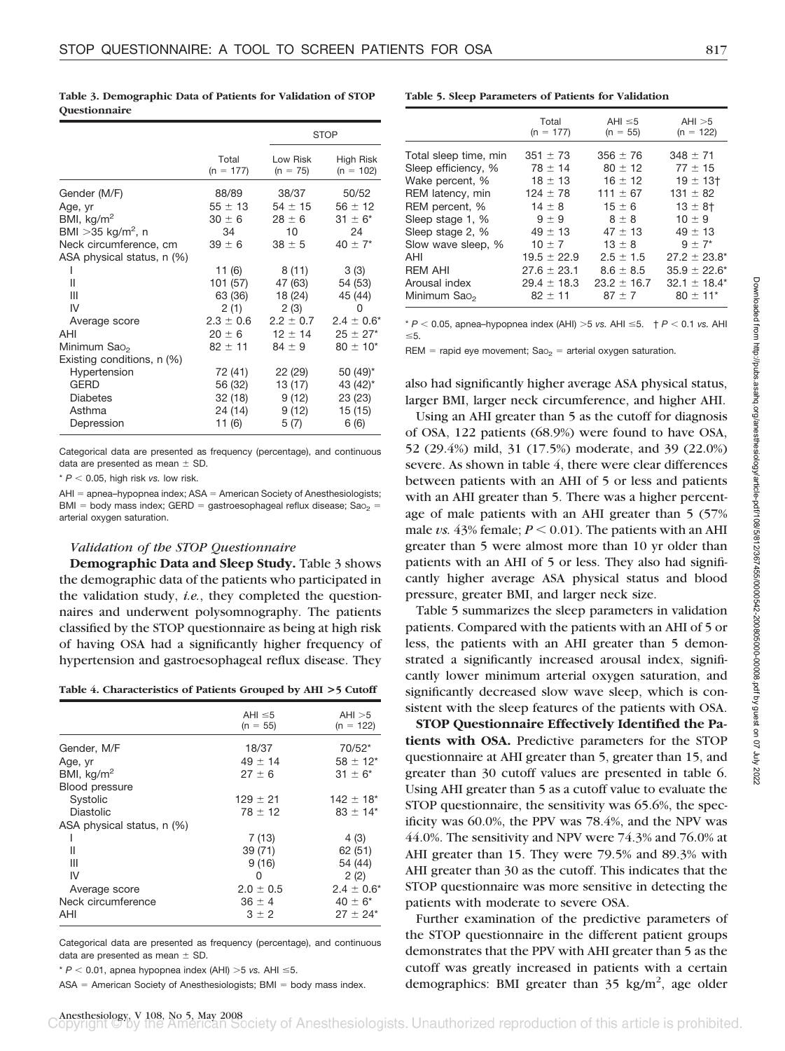|                                  |                      |                        | <b>STOP</b>                     |
|----------------------------------|----------------------|------------------------|---------------------------------|
|                                  | Total<br>$(n = 177)$ | Low Risk<br>$(n = 75)$ | <b>High Risk</b><br>$(n = 102)$ |
| Gender (M/F)                     | 88/89                | 38/37                  | 50/52                           |
| Age, yr                          | $55 \pm 13$          | $54 \pm 15$            | $56 \pm 12$                     |
| BMI, $kg/m2$                     | $30 \pm 6$           | $28 \pm 6$             | $31 \pm 6^*$                    |
| BMI $>$ 35 kg/m <sup>2</sup> , n | 34                   | 10                     | 24                              |
| Neck circumference, cm           | $39 \pm 6$           | $38 \pm 5$             | $40 \pm 7$ *                    |
| ASA physical status, n (%)       |                      |                        |                                 |
| L                                | 11 (6)               | 8(11)                  | 3(3)                            |
| Ш                                | 101(57)              | 47 (63)                | 54 (53)                         |
| III                              | 63 (36)              | 18 (24)                | 45 (44)                         |
| IV                               | 2(1)                 | 2(3)                   | 0                               |
| Average score                    | $2.3 \pm 0.6$        | $2.2 \pm 0.7$          | $2.4 \pm 0.6^*$                 |
| AHI                              | $20 \pm 6$           | $12 \pm 14$            | $25 \pm 27$ <sup>*</sup>        |
| Minimum Sao <sub>2</sub>         | $82 \pm 11$          | $84 \pm 9$             | $80 \pm 10^{*}$                 |
| Existing conditions, n (%)       |                      |                        |                                 |
| Hypertension                     | 72 (41)              | 22 (29)                | 50 $(49)^*$                     |
| <b>GERD</b>                      | 56 (32)              | 13 (17)                | 43 $(42)^*$                     |
| <b>Diabetes</b>                  | 32(18)               | 9(12)                  | 23(23)                          |
| Asthma                           | 24 (14)              | 9(12)                  | 15 (15)                         |
| Depression                       | 11(6)                | 5(7)                   | 6(6)                            |

**Table 3. Demographic Data of Patients for Validation of STOP Questionnaire**

Categorical data are presented as frequency (percentage), and continuous data are presented as mean  $\pm$  SD.

 $*$   $P$   $<$  0.05, high risk *vs.* low risk.

 $AHI =$  apnea–hypopnea index;  $ASA =$  American Society of Anesthesiologists; BMI = body mass index; GERD = gastroesophageal reflux disease; Sao<sub>2</sub> = arterial oxygen saturation.

#### *Validation of the STOP Questionnaire*

**Demographic Data and Sleep Study.** Table 3 shows the demographic data of the patients who participated in the validation study, *i.e.*, they completed the questionnaires and underwent polysomnography. The patients classified by the STOP questionnaire as being at high risk of having OSA had a significantly higher frequency of hypertension and gastroesophageal reflux disease. They

**Table 4. Characteristics of Patients Grouped by AHI >5 Cutoff**

|                            | AHI $\leq 5$<br>$(n = 55)$ | AHI > 5<br>$(n = 122)$    |
|----------------------------|----------------------------|---------------------------|
| Gender, M/F                | 18/37                      | $70/52*$                  |
| Age, yr                    | $49 + 14$                  | $58 \pm 12^{*}$           |
| BMI, $\text{kg/m}^2$       | $27 \pm 6$                 | $31 \pm 6^*$              |
| Blood pressure             |                            |                           |
| Systolic                   | $129 \pm 21$               | $142 \pm 18$ <sup>*</sup> |
| <b>Diastolic</b>           | $78 \pm 12$                | $83 \pm 14$ <sup>*</sup>  |
| ASA physical status, n (%) |                            |                           |
|                            | 7(13)                      | 4(3)                      |
| Ш                          | 39(71)                     | 62 (51)                   |
| $\mathbf{III}$             | 9(16)                      | 54 (44)                   |
| IV                         | O                          | 2(2)                      |
| Average score              | $2.0 \pm 0.5$              | $2.4 \pm 0.6^*$           |
| Neck circumference         | $36 \pm 4$                 | $40 \pm 6^*$              |
| AHI                        | 3±2                        | $27 \pm 24*$              |

Categorical data are presented as frequency (percentage), and continuous data are presented as mean  $\pm$  SD.

 $* P < 0.01$ , apnea hypopnea index (AHI)  $>5$  vs. AHI  $\leq 5$ .

 $ASA =$  American Society of Anesthesiologists; BMI = body mass index.

**Table 5. Sleep Parameters of Patients for Validation**

|                          | Total<br>$(n = 177)$ | AHI $\leq$ 5<br>$(n = 55)$ | AHI > 5<br>$(n = 122)$   |
|--------------------------|----------------------|----------------------------|--------------------------|
| Total sleep time, min    | $351 \pm 73$         | $356 \pm 76$               | $348 \pm 71$             |
| Sleep efficiency, %      | $78 \pm 14$          | $80 \pm 12$                | $77 \pm 15$              |
| Wake percent, %          | $18 \pm 13$          | $16 \pm 12$                | $19 \pm 13$              |
| REM latency, min         | $124 \pm 78$         | $111 \pm 67$               | $131 \pm 82$             |
| REM percent, %           | $14 \pm 8$           | $15 \pm 6$                 | $13 \pm 8$ <sup>+</sup>  |
| Sleep stage 1, %         | $9 \pm 9$            | $8 \pm 8$                  | $10 \pm 9$               |
| Sleep stage 2, %         | $49 \pm 13$          | $47 \pm 13$                | $49 \pm 13$              |
| Slow wave sleep, %       | $10 \pm 7$           | $13 \pm 8$                 | $9 \pm 7^*$              |
| AHI                      | $19.5 \pm 22.9$      | $2.5 \pm 1.5$              | $27.2 \pm 23.8^*$        |
| <b>REM AHI</b>           | $27.6 \pm 23.1$      | $8.6 \pm 8.5$              | $35.9 \pm 22.6^*$        |
| Arousal index            | $29.4 \pm 18.3$      | $23.2 \pm 16.7$            | $32.1 \pm 18.4^*$        |
| Minimum Sao <sub>2</sub> | $82 \pm 11$          | $87 + 7$                   | $80 \pm 11$ <sup>*</sup> |

\* *P* < 0.05, apnea–hypopnea index (AHI) >5 *vs.* AHI ≤5. † *P* < 0.1 *vs.* AHI ≤5.

REM = rapid eye movement;  $Sao<sub>2</sub>$  = arterial oxygen saturation.

also had significantly higher average ASA physical status, larger BMI, larger neck circumference, and higher AHI.

Using an AHI greater than 5 as the cutoff for diagnosis of OSA, 122 patients (68.9%) were found to have OSA, 52 (29.4%) mild, 31 (17.5%) moderate, and 39 (22.0%) severe. As shown in table 4, there were clear differences between patients with an AHI of 5 or less and patients with an AHI greater than 5. There was a higher percentage of male patients with an AHI greater than 5 (57% male *vs.*  $43\%$  female;  $P \le 0.01$ ). The patients with an AHI greater than 5 were almost more than 10 yr older than patients with an AHI of 5 or less. They also had significantly higher average ASA physical status and blood pressure, greater BMI, and larger neck size.

Table 5 summarizes the sleep parameters in validation patients. Compared with the patients with an AHI of 5 or less, the patients with an AHI greater than 5 demonstrated a significantly increased arousal index, significantly lower minimum arterial oxygen saturation, and significantly decreased slow wave sleep, which is consistent with the sleep features of the patients with OSA.

**STOP Questionnaire Effectively Identified the Patients with OSA.** Predictive parameters for the STOP questionnaire at AHI greater than 5, greater than 15, and greater than 30 cutoff values are presented in table 6. Using AHI greater than 5 as a cutoff value to evaluate the STOP questionnaire, the sensitivity was 65.6%, the specificity was 60.0%, the PPV was 78.4%, and the NPV was 44.0%. The sensitivity and NPV were 74.3% and 76.0% at AHI greater than 15. They were 79.5% and 89.3% with AHI greater than 30 as the cutoff. This indicates that the STOP questionnaire was more sensitive in detecting the patients with moderate to severe OSA.

Further examination of the predictive parameters of the STOP questionnaire in the different patient groups demonstrates that the PPV with AHI greater than 5 as the cutoff was greatly increased in patients with a certain demographics: BMI greater than  $35 \text{ kg/m}^2$ , age older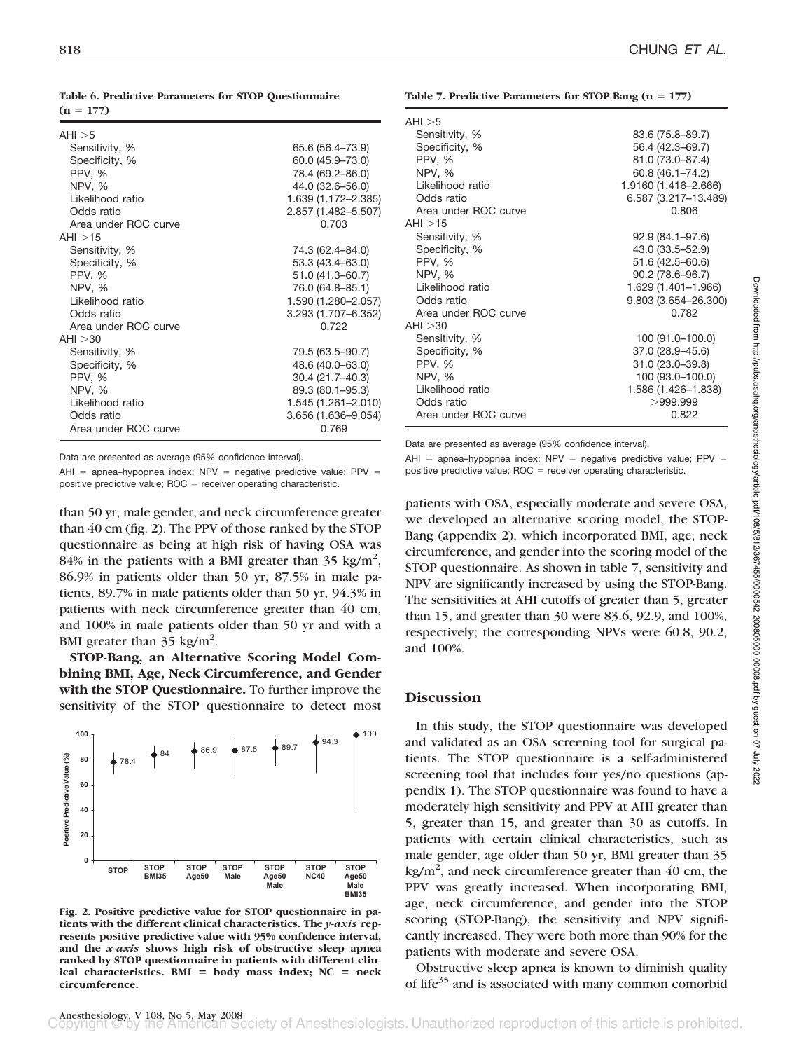|             |  |  | Table 6. Predictive Parameters for STOP Questionnaire |
|-------------|--|--|-------------------------------------------------------|
| $(n = 177)$ |  |  |                                                       |

| 65.6 (56.4–73.9)    |
|---------------------|
| 60.0 (45.9–73.0)    |
| 78.4 (69.2–86.0)    |
| 44.0 (32.6-56.0)    |
| 1.639 (1.172-2.385) |
| 2.857 (1.482-5.507) |
| 0.703               |
|                     |
| 74.3 (62.4–84.0)    |
| 53.3 (43.4-63.0)    |
| 51.0 (41.3-60.7)    |
| 76.0 (64.8–85.1)    |
| 1.590 (1.280-2.057) |
| 3.293 (1.707-6.352) |
| 0.722               |
|                     |
| 79.5 (63.5–90.7)    |
| 48.6 (40.0–63.0)    |
| 30.4 (21.7-40.3)    |
| 89.3 (80.1-95.3)    |
| 1.545 (1.261-2.010) |
| 3.656 (1.636–9.054) |
| 0.769               |
|                     |

Data are presented as average (95% confidence interval).

AHI = apnea-hypopnea index;  $NPV$  = negative predictive value;  $PPV$  = positive predictive value;  $ROC = receiver$  operating characteristic.

than 50 yr, male gender, and neck circumference greater than 40 cm (fig. 2). The PPV of those ranked by the STOP questionnaire as being at high risk of having OSA was  $84\%$  in the patients with a BMI greater than 35 kg/m<sup>2</sup>, 86.9% in patients older than 50 yr, 87.5% in male patients, 89.7% in male patients older than 50 yr, 94.3% in patients with neck circumference greater than 40 cm, and 100% in male patients older than 50 yr and with a BMI greater than  $35 \text{ kg/m}^2$ .

**STOP-Bang, an Alternative Scoring Model Combining BMI, Age, Neck Circumference, and Gender with the STOP Questionnaire.** To further improve the sensitivity of the STOP questionnaire to detect most



**Fig. 2. Positive predictive value for STOP questionnaire in patients with the different clinical characteristics. The** *y-axis* **represents positive predictive value with 95% confidence interval, and the** *x-axis* **shows high risk of obstructive sleep apnea ranked by STOP questionnaire in patients with different clin**ical characteristics. BMI = body mass index; NC = neck **circumference.**

Table 7. Predictive Parameters for STOP-Bang (n = 177)

| AHI > 5              |                      |
|----------------------|----------------------|
| Sensitivity, %       | 83.6 (75.8–89.7)     |
| Specificity, %       | 56.4 (42.3–69.7)     |
| PPV, %               | 81.0 (73.0-87.4)     |
| NPV, %               | 60.8 (46.1–74.2)     |
| Likelihood ratio     | 1.9160 (1.416-2.666) |
| Odds ratio           | 6.587 (3.217-13.489) |
| Area under ROC curve | 0.806                |
| AHI > 15             |                      |
| Sensitivity, %       | 92.9 (84.1–97.6)     |
| Specificity, %       | 43.0 (33.5–52.9)     |
| PPV. %               | 51.6 (42.5–60.6)     |
| <b>NPV, %</b>        | 90.2 (78.6-96.7)     |
| Likelihood ratio     | 1.629 (1.401-1.966)  |
| Odds ratio           | 9.803 (3.654-26.300) |
| Area under ROC curve | 0.782                |
| AHI > 30             |                      |
| Sensitivity, %       | 100 (91.0-100.0)     |
| Specificity, %       | 37.0 (28.9-45.6)     |
| PPV, %               | 31.0 (23.0–39.8)     |
| <b>NPV. %</b>        | 100 (93.0-100.0)     |
| Likelihood ratio     | 1.586 (1.426-1.838)  |
| Odds ratio           | >999.999             |
| Area under ROC curve | 0.822                |

Data are presented as average (95% confidence interval).

AHI = apnea-hypopnea index; NPV = negative predictive value; PPV = positive predictive value;  $ROC = receiver$  operating characteristic.

patients with OSA, especially moderate and severe OSA, we developed an alternative scoring model, the STOP-Bang (appendix 2), which incorporated BMI, age, neck circumference, and gender into the scoring model of the STOP questionnaire. As shown in table 7, sensitivity and NPV are significantly increased by using the STOP-Bang. The sensitivities at AHI cutoffs of greater than 5, greater than 15, and greater than 30 were 83.6, 92.9, and 100%, respectively; the corresponding NPVs were 60.8, 90.2, and 100%.

#### **Discussion**

In this study, the STOP questionnaire was developed and validated as an OSA screening tool for surgical patients. The STOP questionnaire is a self-administered screening tool that includes four yes/no questions (appendix 1). The STOP questionnaire was found to have a moderately high sensitivity and PPV at AHI greater than 5, greater than 15, and greater than 30 as cutoffs. In patients with certain clinical characteristics, such as male gender, age older than 50 yr, BMI greater than 35  $\text{kg/m}^2$ , and neck circumference greater than 40 cm, the PPV was greatly increased. When incorporating BMI, age, neck circumference, and gender into the STOP scoring (STOP-Bang), the sensitivity and NPV significantly increased. They were both more than 90% for the patients with moderate and severe OSA.

Obstructive sleep apnea is known to diminish quality of life<sup>35</sup> and is associated with many common comorbid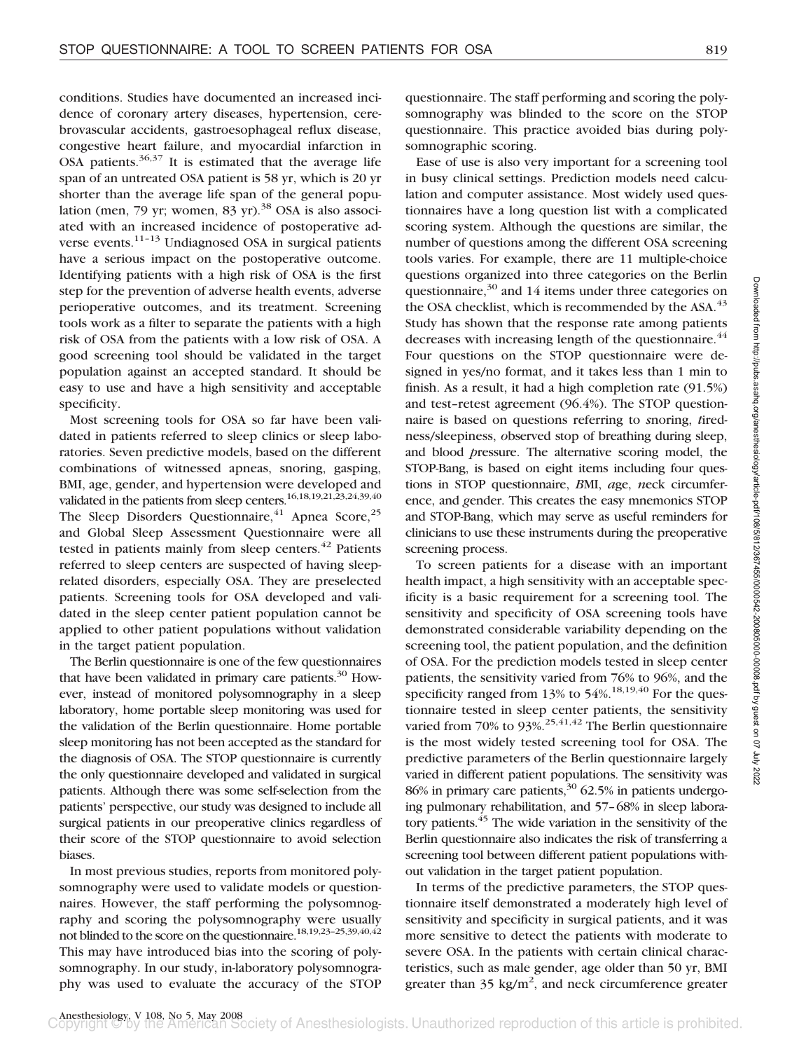conditions. Studies have documented an increased incidence of coronary artery diseases, hypertension, cerebrovascular accidents, gastroesophageal reflux disease, congestive heart failure, and myocardial infarction in OSA patients. $36,37$  It is estimated that the average life span of an untreated OSA patient is 58 yr, which is 20 yr shorter than the average life span of the general population (men, 79 yr; women, 83 yr). $38$  OSA is also associated with an increased incidence of postoperative adverse events. $11-13$  Undiagnosed OSA in surgical patients have a serious impact on the postoperative outcome. Identifying patients with a high risk of OSA is the first step for the prevention of adverse health events, adverse perioperative outcomes, and its treatment. Screening tools work as a filter to separate the patients with a high risk of OSA from the patients with a low risk of OSA. A good screening tool should be validated in the target population against an accepted standard. It should be easy to use and have a high sensitivity and acceptable specificity.

Most screening tools for OSA so far have been validated in patients referred to sleep clinics or sleep laboratories. Seven predictive models, based on the different combinations of witnessed apneas, snoring, gasping, BMI, age, gender, and hypertension were developed and validated in the patients from sleep centers.16,18,19,21,23,24,39,40 The Sleep Disorders Questionnaire, <sup>41</sup> Apnea Score, <sup>25</sup> and Global Sleep Assessment Questionnaire were all tested in patients mainly from sleep centers. $42$  Patients referred to sleep centers are suspected of having sleeprelated disorders, especially OSA. They are preselected patients. Screening tools for OSA developed and validated in the sleep center patient population cannot be applied to other patient populations without validation in the target patient population.

The Berlin questionnaire is one of the few questionnaires that have been validated in primary care patients. $30$  However, instead of monitored polysomnography in a sleep laboratory, home portable sleep monitoring was used for the validation of the Berlin questionnaire. Home portable sleep monitoring has not been accepted as the standard for the diagnosis of OSA. The STOP questionnaire is currently the only questionnaire developed and validated in surgical patients. Although there was some self-selection from the patients' perspective, our study was designed to include all surgical patients in our preoperative clinics regardless of their score of the STOP questionnaire to avoid selection biases.

In most previous studies, reports from monitored polysomnography were used to validate models or questionnaires. However, the staff performing the polysomnography and scoring the polysomnography were usually not blinded to the score on the questionnaire.18,19,23–25,39,40,42 This may have introduced bias into the scoring of polysomnography. In our study, in-laboratory polysomnography was used to evaluate the accuracy of the STOP questionnaire. The staff performing and scoring the polysomnography was blinded to the score on the STOP questionnaire. This practice avoided bias during polysomnographic scoring.

Ease of use is also very important for a screening tool in busy clinical settings. Prediction models need calculation and computer assistance. Most widely used questionnaires have a long question list with a complicated scoring system. Although the questions are similar, the number of questions among the different OSA screening tools varies. For example, there are 11 multiple-choice questions organized into three categories on the Berlin questionnaire,  $30$  and 14 items under three categories on the OSA checklist, which is recommended by the ASA.<sup>43</sup> Study has shown that the response rate among patients decreases with increasing length of the questionnaire.<sup>44</sup> Four questions on the STOP questionnaire were designed in yes/no format, and it takes less than 1 min to finish. As a result, it had a high completion rate (91.5%) and test–retest agreement (96.4%). The STOP questionnaire is based on questions referring to *s*noring, *t*iredness/sleepiness, *o*bserved stop of breathing during sleep, and blood *p*ressure. The alternative scoring model, the STOP-Bang, is based on eight items including four questions in STOP questionnaire, *B*MI, *a*ge, *n*eck circumference, and *g*ender. This creates the easy mnemonics STOP and STOP-Bang, which may serve as useful reminders for clinicians to use these instruments during the preoperative screening process.

To screen patients for a disease with an important health impact, a high sensitivity with an acceptable specificity is a basic requirement for a screening tool. The sensitivity and specificity of OSA screening tools have demonstrated considerable variability depending on the screening tool, the patient population, and the definition of OSA. For the prediction models tested in sleep center patients, the sensitivity varied from 76% to 96%, and the specificity ranged from 13% to  $54\%$ .<sup>18,19,40</sup> For the questionnaire tested in sleep center patients, the sensitivity varied from 70% to  $93\%$ <sup>25,41,42</sup> The Berlin questionnaire is the most widely tested screening tool for OSA. The predictive parameters of the Berlin questionnaire largely varied in different patient populations. The sensitivity was 86% in primary care patients,  $30\,62.5\%$  in patients undergoing pulmonary rehabilitation, and 57–68% in sleep laboratory patients. $45$  The wide variation in the sensitivity of the Berlin questionnaire also indicates the risk of transferring a screening tool between different patient populations without validation in the target patient population.

In terms of the predictive parameters, the STOP questionnaire itself demonstrated a moderately high level of sensitivity and specificity in surgical patients, and it was more sensitive to detect the patients with moderate to severe OSA. In the patients with certain clinical characteristics, such as male gender, age older than 50 yr, BMI greater than  $35 \text{ kg/m}^2$ , and neck circumference greater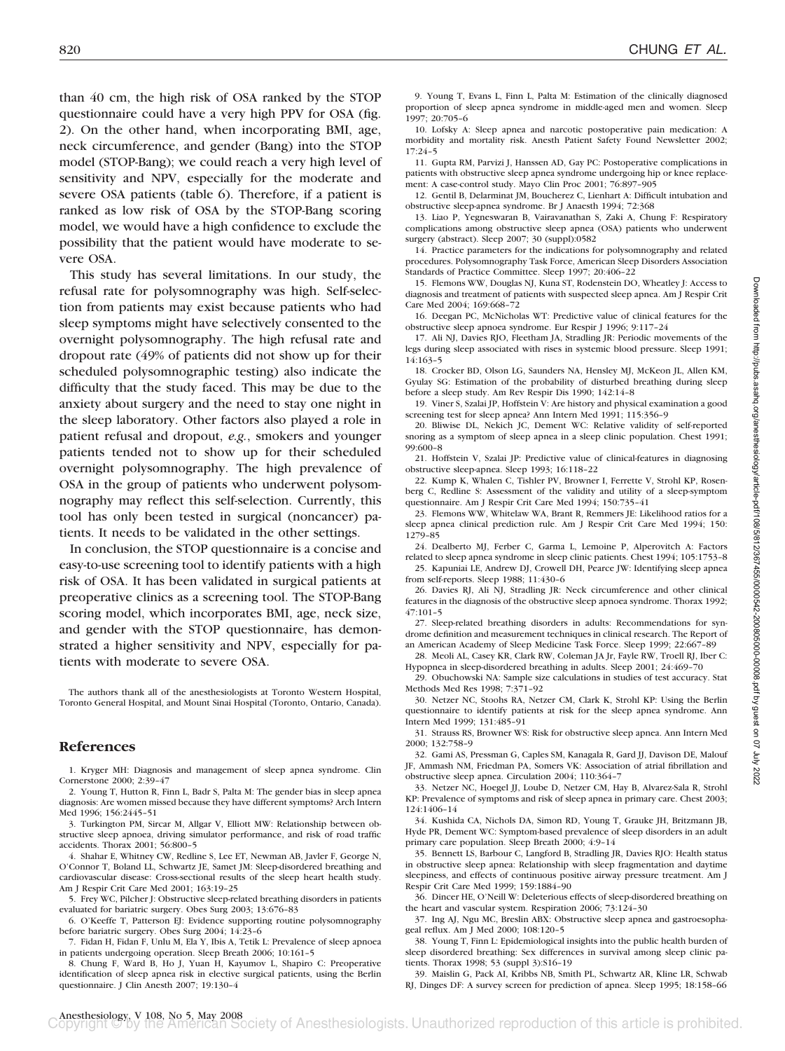than 40 cm, the high risk of OSA ranked by the STOP questionnaire could have a very high PPV for OSA (fig. 2). On the other hand, when incorporating BMI, age, neck circumference, and gender (Bang) into the STOP model (STOP-Bang); we could reach a very high level of sensitivity and NPV, especially for the moderate and severe OSA patients (table 6). Therefore, if a patient is ranked as low risk of OSA by the STOP-Bang scoring model, we would have a high confidence to exclude the possibility that the patient would have moderate to severe OSA.

This study has several limitations. In our study, the refusal rate for polysomnography was high. Self-selection from patients may exist because patients who had sleep symptoms might have selectively consented to the overnight polysomnography. The high refusal rate and dropout rate (49% of patients did not show up for their scheduled polysomnographic testing) also indicate the difficulty that the study faced. This may be due to the anxiety about surgery and the need to stay one night in the sleep laboratory. Other factors also played a role in patient refusal and dropout, *e.g.*, smokers and younger patients tended not to show up for their scheduled overnight polysomnography. The high prevalence of OSA in the group of patients who underwent polysomnography may reflect this self-selection. Currently, this tool has only been tested in surgical (noncancer) patients. It needs to be validated in the other settings.

In conclusion, the STOP questionnaire is a concise and easy-to-use screening tool to identify patients with a high risk of OSA. It has been validated in surgical patients at preoperative clinics as a screening tool. The STOP-Bang scoring model, which incorporates BMI, age, neck size, and gender with the STOP questionnaire, has demonstrated a higher sensitivity and NPV, especially for patients with moderate to severe OSA.

The authors thank all of the anesthesiologists at Toronto Western Hospital, Toronto General Hospital, and Mount Sinai Hospital (Toronto, Ontario, Canada).

# **References**

1. Kryger MH: Diagnosis and management of sleep apnea syndrome. Clin Cornerstone 2000; 2:39–47

2. Young T, Hutton R, Finn L, Badr S, Palta M: The gender bias in sleep apnea diagnosis: Are women missed because they have different symptoms? Arch Intern Med 1996; 156:2445–51

3. Turkington PM, Sircar M, Allgar V, Elliott MW: Relationship between obstructive sleep apnoea, driving simulator performance, and risk of road traffic accidents. Thorax 2001; 56:800–5

4. Shahar E, Whitney CW, Redline S, Lee ET, Newman AB, Javler F, George N, O'Connor T, Boland LL, Schwartz JE, Samet JM: Sleep-disordered breathing and cardiovascular disease: Cross-sectional results of the sleep heart health study. Am J Respir Crit Care Med 2001; 163:19–25

5. Frey WC, Pilcher J: Obstructive sleep-related breathing disorders in patients evaluated for bariatric surgery. Obes Surg 2003; 13:676–83

6. O'Keeffe T, Patterson EJ: Evidence supporting routine polysomnography before bariatric surgery. Obes Surg 2004; 14:23–6

7. Fidan H, Fidan F, Unlu M, Ela Y, Ibis A, Tetik L: Prevalence of sleep apnoea in patients undergoing operation. Sleep Breath 2006; 10:161–5

8. Chung F, Ward B, Ho J, Yuan H, Kayumov L, Shapiro C: Preoperative identification of sleep apnea risk in elective surgical patients, using the Berlin questionnaire. J Clin Anesth 2007; 19:130–4

9. Young T, Evans L, Finn L, Palta M: Estimation of the clinically diagnosed proportion of sleep apnea syndrome in middle-aged men and women. Sleep 1997; 20:705–6

10. Lofsky A: Sleep apnea and narcotic postoperative pain medication: A morbidity and mortality risk. Anesth Patient Safety Found Newsletter 2002; 17:24–5

11. Gupta RM, Parvizi J, Hanssen AD, Gay PC: Postoperative complications in patients with obstructive sleep apnea syndrome undergoing hip or knee replacement: A case-control study. Mayo Clin Proc 2001; 76:897–905

12. Gentil B, Delarminat JM, Boucherez C, Lienhart A: Difficult intubation and obstructive sleep-apnea syndrome. Br J Anaesth 1994; 72:368

13. Liao P, Yegneswaran B, Vairavanathan S, Zaki A, Chung F: Respiratory complications among obstructive sleep apnea (OSA) patients who underwent surgery (abstract). Sleep 2007; 30 (suppl):0582

14. Practice parameters for the indications for polysomnography and related procedures. Polysomnography Task Force, American Sleep Disorders Association Standards of Practice Committee. Sleep 1997; 20:406–22

15. Flemons WW, Douglas NJ, Kuna ST, Rodenstein DO, Wheatley J: Access to diagnosis and treatment of patients with suspected sleep apnea. Am J Respir Crit Care Med 2004; 169:668–72

16. Deegan PC, McNicholas WT: Predictive value of clinical features for the obstructive sleep apnoea syndrome. Eur Respir J 1996; 9:117–24

17. Ali NJ, Davies RJO, Fleetham JA, Stradling JR: Periodic movements of the legs during sleep associated with rises in systemic blood pressure. Sleep 1991; 14:163–5

18. Crocker BD, Olson LG, Saunders NA, Hensley MJ, McKeon JL, Allen KM, Gyulay SG: Estimation of the probability of disturbed breathing during sleep before a sleep study. Am Rev Respir Dis 1990; 142:14–8

19. Viner S, Szalai JP, Hoffstein V: Are history and physical examination a good screening test for sleep apnea? Ann Intern Med 1991; 115:356–9

20. Bliwise DL, Nekich JC, Dement WC: Relative validity of self-reported snoring as a symptom of sleep apnea in a sleep clinic population. Chest 1991; 99:600–8

21. Hoffstein V, Szalai JP: Predictive value of clinical-features in diagnosing obstructive sleep-apnea. Sleep 1993; 16:118–22

22. Kump K, Whalen C, Tishler PV, Browner I, Ferrette V, Strohl KP, Rosenberg C, Redline S: Assessment of the validity and utility of a sleep-symptom questionnaire. Am J Respir Crit Care Med 1994; 150:735–41

23. Flemons WW, Whitelaw WA, Brant R, Remmers JE: Likelihood ratios for a sleep apnea clinical prediction rule. Am J Respir Crit Care Med 1994; 150: 1279–85

24. Dealberto MJ, Ferber C, Garma L, Lemoine P, Alperovitch A: Factors related to sleep apnea syndrome in sleep clinic patients. Chest 1994; 105:1753–8 25. Kapuniai LE, Andrew DJ, Crowell DH, Pearce JW: Identifying sleep apnea from self-reports. Sleep 1988; 11:430–6

26. Davies RJ, Ali NJ, Stradling JR: Neck circumference and other clinical features in the diagnosis of the obstructive sleep apnoea syndrome. Thorax 1992; 47:101–5

27. Sleep-related breathing disorders in adults: Recommendations for syndrome definition and measurement techniques in clinical research. The Report of an American Academy of Sleep Medicine Task Force. Sleep 1999; 22:667–89

28. Meoli AL, Casey KR, Clark RW, Coleman JA Jr, Fayle RW, Troell RJ, Iber C: Hypopnea in sleep-disordered breathing in adults. Sleep 2001; 24:469–70

29. Obuchowski NA: Sample size calculations in studies of test accuracy. Stat Methods Med Res 1998; 7:371–92

30. Netzer NC, Stoohs RA, Netzer CM, Clark K, Strohl KP: Using the Berlin questionnaire to identify patients at risk for the sleep apnea syndrome. Ann Intern Med 1999; 131:485–91

31. Strauss RS, Browner WS: Risk for obstructive sleep apnea. Ann Intern Med 2000; 132:758–9

32. Gami AS, Pressman G, Caples SM, Kanagala R, Gard JJ, Davison DE, Malouf JF, Ammash NM, Friedman PA, Somers VK: Association of atrial fibrillation and obstructive sleep apnea. Circulation 2004; 110:364–7

33. Netzer NC, Hoegel JJ, Loube D, Netzer CM, Hay B, Alvarez-Sala R, Strohl KP: Prevalence of symptoms and risk of sleep apnea in primary care. Chest 2003; 124:1406–14

34. Kushida CA, Nichols DA, Simon RD, Young T, Grauke JH, Britzmann JB, Hyde PR, Dement WC: Symptom-based prevalence of sleep disorders in an adult primary care population. Sleep Breath 2000; 4:9–14

35. Bennett LS, Barbour C, Langford B, Stradling JR, Davies RJO: Health status in obstructive sleep apnea: Relationship with sleep fragmentation and daytime sleepiness, and effects of continuous positive airway pressure treatment. Am J Respir Crit Care Med 1999; 159:1884–90

36. Dincer HE, O'Neill W: Deleterious effects of sleep-disordered breathing on the heart and vascular system. Respiration 2006; 73:124–30

37. Ing AJ, Ngu MC, Breslin ABX: Obstructive sleep apnea and gastroesophageal reflux. Am J Med 2000; 108:120–5

38. Young T, Finn L: Epidemiological insights into the public health burden of sleep disordered breathing: Sex differences in survival among sleep clinic patients. Thorax 1998; 53 (suppl 3):S16–19

39. Maislin G, Pack AI, Kribbs NB, Smith PL, Schwartz AR, Kline LR, Schwab RJ, Dinges DF: A survey screen for prediction of apnea. Sleep 1995; 18:158–66